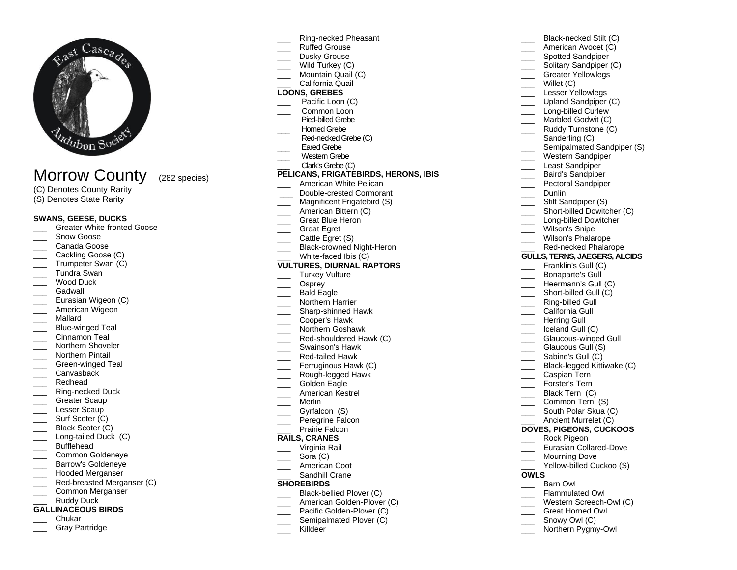

# Morrow County (282 species)

- (C) Denotes County Rarity
- (S) Denotes State Rarity

# **SWANS, GEESE, DUCKS**

- Greater White-fronted Goose
- Snow Goose
- Canada Goose
- Cackling Goose (C)
- Trumpeter Swan (C)
- \_\_\_ Tundra Swan
- Wood Duck
- Gadwall
- Eurasian Wigeon (C)
- American Wigeon
- \_\_\_ Mallard
- Blue-winged Teal
- Cinnamon Teal
- Northern Shoveler
- \_\_\_ Northern Pintail
- Green-winged Teal
- Canvasback
- \_\_\_ Redhead
- \_\_\_ Ring-necked Duck
- Greater Scaup
- Lesser Scaup
- Surf Scoter (C)
- Black Scoter (C) Long-tailed Duck (C)
- Bufflehead
- \_\_\_ Common Goldeneye
- Barrow's Goldeneye
- \_\_\_ Hooded Merganser
- Red-breasted Merganser (C)
- \_\_\_ Common Merganser
- Ruddy Duck
- **GALLINACEOUS BIRDS**
- \_\_\_ Chukar
- Gray Partridge
- \_\_\_ Ring-necked Pheasant
- \_\_\_ Ruffed Grouse
- Dusky Grouse
- Wild Turkey (C)
- Mountain Quail (C)

# California Quail

- **LOONS, GREBES**
- Pacific Loon (C)
- Common Loon
- **\_\_\_** Pied-billed Grebe
- Horned Grebe
- Red-necked Grebe (C)
- Eared Grebe
- Western Grebe
- Clark's Grebe (C)

# **PELICANS, FRIGATEBIRDS, HERONS, IBIS**

- American White Pelican
- \_\_\_ Double-crested Cormorant
- Magnificent Frigatebird (S)
- American Bittern (C)
- Great Blue Heron
- \_\_\_ Great Egret
- Cattle Egret (S)
- Black-crowned Night-Heron
- White-faced Ibis (C)

# **VULTURES, DIURNAL RAPTORS**

- Turkey Vulture
- Osprey
- Bald Eagle
- \_\_\_ Northern Harrier
- \_\_\_ Sharp-shinned Hawk
- \_\_\_ Cooper's Hawk
- \_\_\_ Northern Goshawk
- Red-shouldered Hawk (C)
- \_\_\_ Swainson's Hawk
- \_\_\_ Red-tailed Hawk
- Ferruginous Hawk (C)
- \_\_\_ Rough-legged Hawk
- Golden Eagle
- \_\_\_ American Kestrel
- \_\_\_ Merlin
- Gyrfalcon (S)
- Peregrine Falcon
- Prairie Falcon

### **RAILS, CRANES**

- \_\_\_ Virginia Rail
- Sora (C)
- \_\_\_ American Coot
- Sandhill Crane

# **SHOREBIRDS**

- Black-bellied Plover (C)
- American Golden-Plover (C)
- Pacific Golden-Plover (C)
- Semipalmated Plover (C)
- Killdeer
- Black-necked Stilt (C)
- American Avocet (C)
- Spotted Sandpiper
- Solitary Sandpiper (C)

Upland Sandpiper (C) Long-billed Curlew Marbled Godwit (C) \_\_\_\_ Ruddy Turnstone (C) Sanderling (C)

Western Sandpiper Least Sandpiper \_\_\_ Baird's Sandpiper Pectoral Sandpiper

> Stilt Sandpiper (S) Short-billed Dowitcher (C)

Black-legged Kittiwake (C)

Eurasian Collared-Dove Mourning Dove

Yellow-billed Cuckoo (S)

\_\_\_ Caspian Tern Forster's Tern Black Tern (C) Common Tern (S) South Polar Skua (C) Ancient Murrelet (C) **DOVES, PIGEONS, CUCKOOS** \_\_\_ Rock Pigeon

**OWLS** 

Barn Owl Flammulated Owl Western Screech-Owl (C) Great Horned Owl Snowy Owl (C) Northern Pygmy-Owl

\_\_\_ Long-billed Dowitcher Wilson's Snipe Wilson's Phalarope Red-necked Phalarope **GULLS, TERNS, JAEGERS, ALCIDS** Franklin's Gull (C) \_\_\_ Bonaparte's Gull Heermann's Gull (C) Short-billed Gull (C) Ring-billed Gull \_\_\_ California Gull Herring Gull \_\_\_ Iceland Gull (C) Glaucous-winged Gull Glaucous Gull (S) \_\_\_ Sabine's Gull (C)

Semipalmated Sandpiper (S)

- \_\_\_ Greater Yellowlegs
- \_\_\_ Willet (C) Lesser Yellowlegs

Dunlin